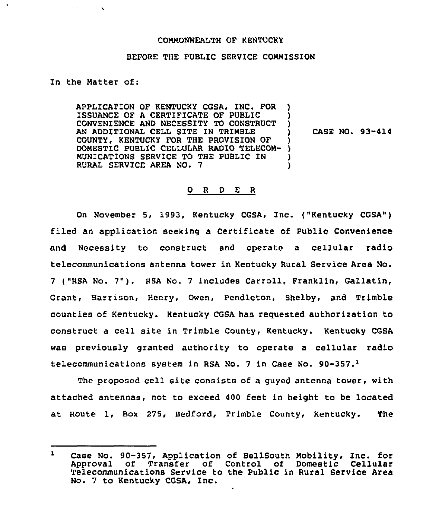## COMMONWEALTH OF KENTUCKY

## BEFORE THE PUBLIC SERVICE COMMISSION

## In the Matter of:

APPLICATION OF KENTUCKY CGSA, ZNC. FOR ISSUANCE OF A CERTIFICATE OF PUBLIC CONVENIENCE AND NECESSITY TO CONSTRUCT AN ADDITIONAL CELL SITE IN TRIMBLE COUNTY, KENTUCKY FQR THE PROVISION OF DOMESTIC PUBLIC CELLULAR RADIO TELECOM-MUNICATIONS SERVICE TO THE PUBLIC IN RURAL SERVICE AREA NO. 7 ) ) )<br>}  $\left\{ \right\}$ ) )

CASE NO. 93-414

## 0 <sup>R</sup> <sup>D</sup> E <sup>R</sup>

On November 5, 1993, Kentucky CGSA, Inc. ("Kentucky CGSA") filed an application seeking a Certificate of Public Convenience and Necessity to construct and operate a cellular radio telecommunications antenna tower in Kentucky Rural Service Area No. <sup>7</sup> ("RSA No. 7"). RSA No. <sup>7</sup> includes Carroll, Franklin, Gallatin, Grant, Harrison, Henry, Owen, Pendleton, Shelby, and Trimble counties of Kentucky. Kentucky CGSA has requested authorization to construct a cell site in Trimble County, Kentucky. Kentucky CGSA was previously granted authority to operate a cellular radio telecommunications system in RSA No. 7 in Case No. 90-357. $^1$ 

The proposed cell site consists of a guyed antenna tower, with attached antennas, not to exceed 400 feet in height to be located at Route 1, Box 275, Bedford, Trimble County, Kentucky. The

 $\mathbf{1}$ Case No. 90-357, Application of BellSouth Mobility, Znc. for Approval of Transfer of Control of Domestic Cellular Telecommunications Service to the Public in Rural Service Area No. <sup>7</sup> to Kentucky CGSA, Inc.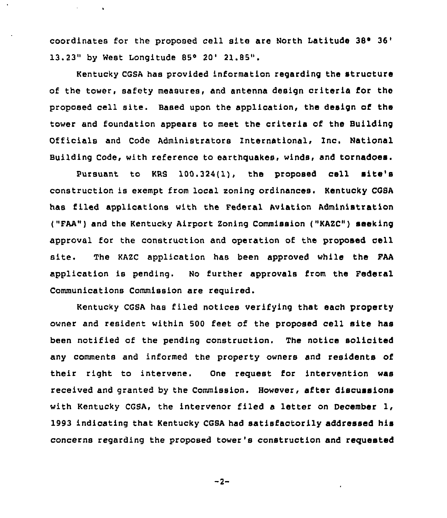coordinates for the proposed cell site are North Latitude  $38^{\circ}$   $36'$ 13.23" by West Longitude 85° 20' 21.85".

 $\sim 10^{-1}$ 

 $\sim$   $\sim$ 

Kentucky CGSA has provided information regarding the structure of the tower, safety measures, and antenna design criteria for the proposed cell site. Based upon the application, the design of the tower and foundation appears to meet the criteria of the Building Officials and Code Administrators International, Inc. National Building Code, with reference to earthquakes, winds, and tornadoes.

Pursuant to KRS 100.324(1), the proposed cell site's construction is exempt from local soning ordinances. Kentucky COSA has filed applications with the Federal Aviation Administration ("FAA") and the Kentucky Airport Zoning Commission ("KAZC") seeking approval for the construction and operation of the proposed cell site. The KAZC application has been approved while the FAA application is pending. No further approvals from the Federal Communications Commission are required.

Kentucky CGSA has filed notices verifying that each property owner and resident within 500 feet of the proposed cell site has been notified of the pending construction. The notice solicited any comments and informed the property owners and residents of their right to intervene. One request for intervention was received and granted by the Commission. However, after discussions with Kentucky CGSA, the intervenor filed a letter on December 1, 1993 indicating that Kentucky CGSA had satisfactorily addressed his concerns regarding the proposed tower's construction and requested

 $-2-$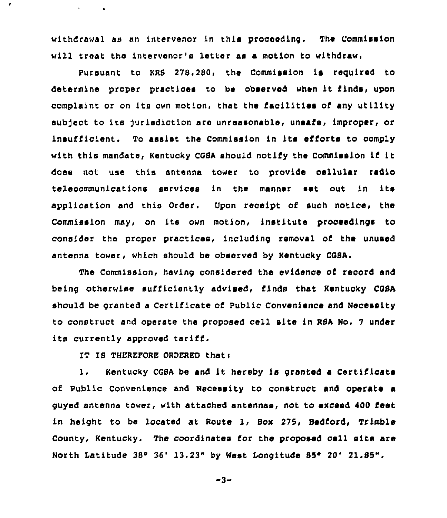withdrawal as an intervenor in this prooeeding. The Commission will treat the intervenor's letter as a motion to withdraw.

Pursuant to KRS 278.280, the Commission is required to determine proper practices to be observed when it finds, upon complaint or on its own motion, that the facilities of any utility aubject to its jurisdiction are unreasonable, unsafe, improper, or insufficient. To assist the Commission in its efforts to comply with this mandate, Kentucky CGSA should notify the Commission if it does not usa this antenna tower to provfde cellular radio telecommunications services in the manner set out in its application and this Order. Upon receipt of such notice, the Commission may, on its own motion, institute proceedings to consider the proper practices, including removal of the unused antenna tower, which should be observed by Kentucky COSA.

The Commission, having considered the evidence of record and being otherwise sufficiently advised, finds that Kentucky CGSA should be granted a Certificate of Public Convenience and Necessity to construct and operate the proposed cell site in RSA No. <sup>7</sup> under its currently approved taritf.

IT IS THEREPORE ORDERED thats

 $\epsilon$ 

**Contract Contract** 

1. Kentucky CGSA be and it hereby is granted a Certificate of Public Convenience and Necessity to construct and operate a guyed antenna tower, with attached antennas, not to exceed 400 Eeet in height to be located at Route 1, Box 275, Bedford, Trimble County, Kentucky. The coordinates for the proposed cell site are North Latitude 38° 36' 13.23" by West Longitude 85° 20' 21.85".

$$
-3 -
$$